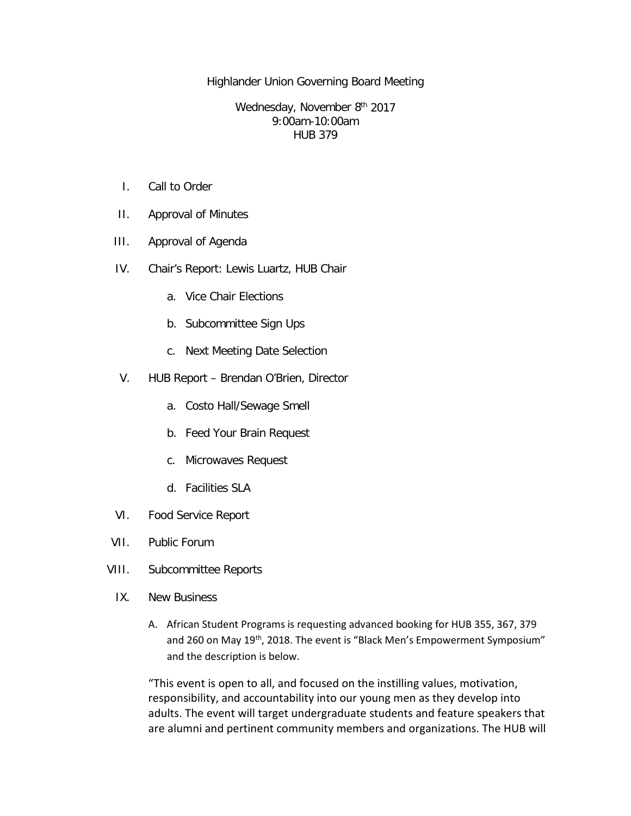Highlander Union Governing Board Meeting

Wednesday, November 8th 2017 9:00am-10:00am HUB 379

- I. Call to Order
- II. Approval of Minutes
- III. Approval of Agenda
- IV. Chair's Report: Lewis Luartz, HUB Chair
	- a. Vice Chair Elections
	- b. Subcommittee Sign Ups
	- c. Next Meeting Date Selection
- V. HUB Report Brendan O'Brien, Director
	- a. Costo Hall/Sewage Smell
	- b. Feed Your Brain Request
	- c. Microwaves Request
	- d. Facilities SLA
- VI. Food Service Report
- VII. Public Forum
- VIII. Subcommittee Reports
	- IX. New Business
		- A. African Student Programs is requesting advanced booking for HUB 355, 367, 379 and 260 on May 19<sup>th</sup>, 2018. The event is "Black Men's Empowerment Symposium" and the description is below.

"This event is open to all, and focused on the instilling values, motivation, responsibility, and accountability into our young men as they develop into adults. The event will target undergraduate students and feature speakers that are alumni and pertinent community members and organizations. The HUB will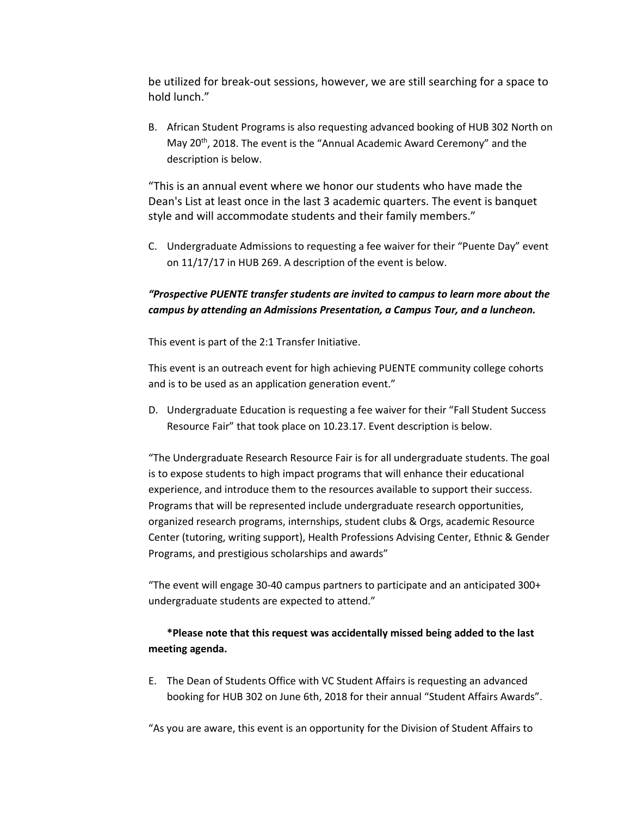be utilized for break-out sessions, however, we are still searching for a space to hold lunch."

B. African Student Programs is also requesting advanced booking of HUB 302 North on May 20<sup>th</sup>, 2018. The event is the "Annual Academic Award Ceremony" and the description is below.

"This is an annual event where we honor our students who have made the Dean's List at least once in the last 3 academic quarters. The event is banquet style and will accommodate students and their family members."

C. Undergraduate Admissions to requesting a fee waiver for their "Puente Day" event on 11/17/17 in HUB 269. A description of the event is below.

## *"Prospective PUENTE transfer students are invited to campus to learn more about the campus by attending an Admissions Presentation, a Campus Tour, and a luncheon.*

This event is part of the 2:1 Transfer Initiative.

This event is an outreach event for high achieving PUENTE community college cohorts and is to be used as an application generation event."

D. Undergraduate Education is requesting a fee waiver for their "Fall Student Success Resource Fair" that took place on 10.23.17. Event description is below.

"The Undergraduate Research Resource Fair is for all undergraduate students. The goal is to expose students to high impact programs that will enhance their educational experience, and introduce them to the resources available to support their success. Programs that will be represented include undergraduate research opportunities, organized research programs, internships, student clubs & Orgs, academic Resource Center (tutoring, writing support), Health Professions Advising Center, Ethnic & Gender Programs, and prestigious scholarships and awards"

"The event will engage 30-40 campus partners to participate and an anticipated 300+ undergraduate students are expected to attend."

## **\*Please note that this request was accidentally missed being added to the last meeting agenda.**

E. The Dean of Students Office with VC Student Affairs is requesting an advanced booking for HUB 302 on June 6th, 2018 for their annual "Student Affairs Awards".

"As you are aware, this event is an opportunity for the Division of Student Affairs to